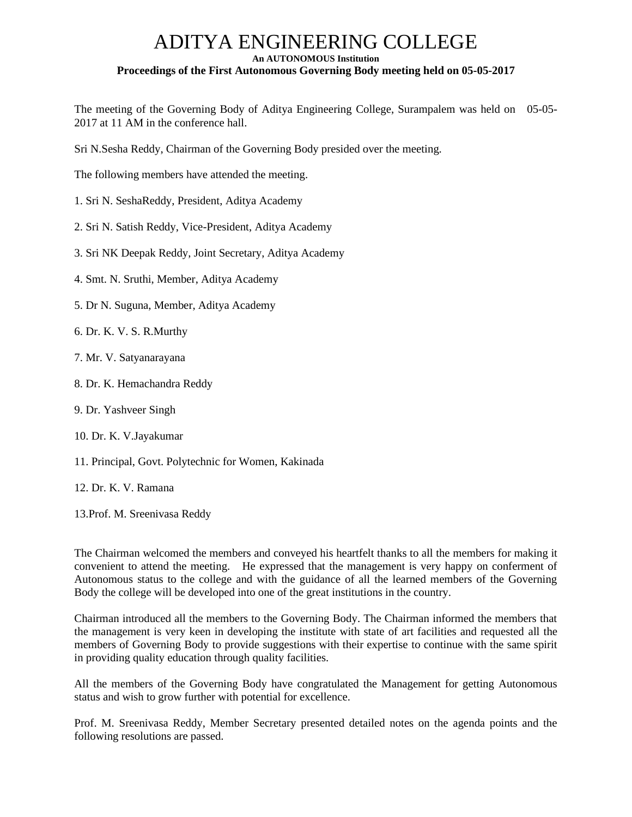# ADITYA ENGINEERING COLLEGE **An AUTONOMOUS Institution Proceedings of the First Autonomous Governing Body meeting held on 05-05-2017**

The meeting of the Governing Body of Aditya Engineering College, Surampalem was held on 05-05- 2017 at 11 AM in the conference hall.

Sri N.Sesha Reddy, Chairman of the Governing Body presided over the meeting.

The following members have attended the meeting.

- 1. Sri N. SeshaReddy, President, Aditya Academy
- 2. Sri N. Satish Reddy, Vice-President, Aditya Academy
- 3. Sri NK Deepak Reddy, Joint Secretary, Aditya Academy
- 4. Smt. N. Sruthi, Member, Aditya Academy
- 5. Dr N. Suguna, Member, Aditya Academy
- 6. Dr. K. V. S. R.Murthy
- 7. Mr. V. Satyanarayana
- 8. Dr. K. Hemachandra Reddy
- 9. Dr. Yashveer Singh
- 10. Dr. K. V.Jayakumar
- 11. Principal, Govt. Polytechnic for Women, Kakinada
- 12. Dr. K. V. Ramana
- 13.Prof. M. Sreenivasa Reddy

The Chairman welcomed the members and conveyed his heartfelt thanks to all the members for making it convenient to attend the meeting. He expressed that the management is very happy on conferment of Autonomous status to the college and with the guidance of all the learned members of the Governing Body the college will be developed into one of the great institutions in the country.

Chairman introduced all the members to the Governing Body. The Chairman informed the members that the management is very keen in developing the institute with state of art facilities and requested all the members of Governing Body to provide suggestions with their expertise to continue with the same spirit in providing quality education through quality facilities.

All the members of the Governing Body have congratulated the Management for getting Autonomous status and wish to grow further with potential for excellence.

Prof. M. Sreenivasa Reddy, Member Secretary presented detailed notes on the agenda points and the following resolutions are passed.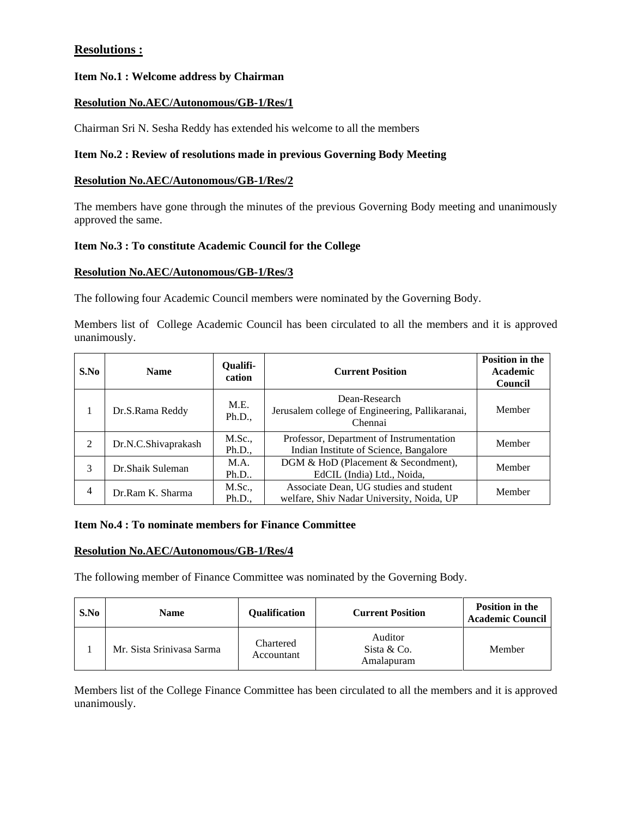# **Resolutions :**

# **Item No.1 : Welcome address by Chairman**

# **Resolution No.AEC/Autonomous/GB-1/Res/1**

Chairman Sri N. Sesha Reddy has extended his welcome to all the members

# **Item No.2 : Review of resolutions made in previous Governing Body Meeting**

### **Resolution No.AEC/Autonomous/GB-1/Res/2**

The members have gone through the minutes of the previous Governing Body meeting and unanimously approved the same.

# **Item No.3 : To constitute Academic Council for the College**

# **Resolution No.AEC/Autonomous/GB-1/Res/3**

The following four Academic Council members were nominated by the Governing Body.

Members list of College Academic Council has been circulated to all the members and it is approved unanimously.

| S.No | <b>Name</b>         | Qualifi-<br>cation | <b>Current Position</b>                                                             | <b>Position in the</b><br>Academic<br>Council |
|------|---------------------|--------------------|-------------------------------------------------------------------------------------|-----------------------------------------------|
| 1    | Dr.S.Rama Reddy     | M.E.<br>Ph.D.,     | Dean-Research<br>Jerusalem college of Engineering, Pallikaranai,<br>Chennai         | Member                                        |
| 2    | Dr.N.C.Shivaprakash | M.Sc.,<br>Ph.D.,   | Professor, Department of Instrumentation<br>Indian Institute of Science, Bangalore  | Member                                        |
| 3    | Dr.Shaik Suleman    | M.A.<br>Ph.D       | DGM & HoD (Placement & Secondment),<br>EdCIL (India) Ltd., Noida,                   | Member                                        |
| 4    | Dr.Ram K. Sharma    | M.Sc.,<br>Ph.D.,   | Associate Dean, UG studies and student<br>welfare, Shiv Nadar University, Noida, UP | Member                                        |

#### **Item No.4 : To nominate members for Finance Committee**

#### **Resolution No.AEC/Autonomous/GB-1/Res/4**

The following member of Finance Committee was nominated by the Governing Body.

| S.No | Name                      | Oualification           | <b>Current Position</b>              | <b>Position in the</b><br><b>Academic Council</b> |
|------|---------------------------|-------------------------|--------------------------------------|---------------------------------------------------|
|      | Mr. Sista Srinivasa Sarma | Chartered<br>Accountant | Auditor<br>Sista & Co.<br>Amalapuram | Member                                            |

Members list of the College Finance Committee has been circulated to all the members and it is approved unanimously.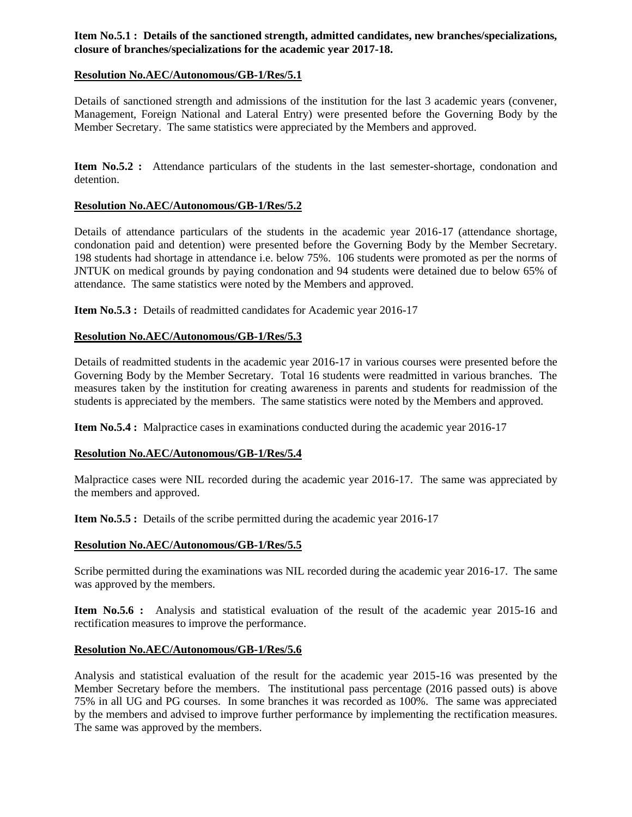# **Item No.5.1 : Details of the sanctioned strength, admitted candidates, new branches/specializations, closure of branches/specializations for the academic year 2017-18.**

# **Resolution No.AEC/Autonomous/GB-1/Res/5.1**

Details of sanctioned strength and admissions of the institution for the last 3 academic years (convener, Management, Foreign National and Lateral Entry) were presented before the Governing Body by the Member Secretary. The same statistics were appreciated by the Members and approved.

**Item No.5.2 :** Attendance particulars of the students in the last semester-shortage, condonation and detention.

# **Resolution No.AEC/Autonomous/GB-1/Res/5.2**

Details of attendance particulars of the students in the academic year 2016-17 (attendance shortage, condonation paid and detention) were presented before the Governing Body by the Member Secretary. 198 students had shortage in attendance i.e. below 75%. 106 students were promoted as per the norms of JNTUK on medical grounds by paying condonation and 94 students were detained due to below 65% of attendance. The same statistics were noted by the Members and approved.

**Item No.5.3 :** Details of readmitted candidates for Academic year 2016-17

# **Resolution No.AEC/Autonomous/GB-1/Res/5.3**

Details of readmitted students in the academic year 2016-17 in various courses were presented before the Governing Body by the Member Secretary. Total 16 students were readmitted in various branches. The measures taken by the institution for creating awareness in parents and students for readmission of the students is appreciated by the members. The same statistics were noted by the Members and approved.

**Item No.5.4 :** Malpractice cases in examinations conducted during the academic year 2016-17

# **Resolution No.AEC/Autonomous/GB-1/Res/5.4**

Malpractice cases were NIL recorded during the academic year 2016-17. The same was appreciated by the members and approved.

**Item No.5.5 :** Details of the scribe permitted during the academic year 2016-17

# **Resolution No.AEC/Autonomous/GB-1/Res/5.5**

Scribe permitted during the examinations was NIL recorded during the academic year 2016-17. The same was approved by the members.

**Item No.5.6 :** Analysis and statistical evaluation of the result of the academic year 2015-16 and rectification measures to improve the performance.

# **Resolution No.AEC/Autonomous/GB-1/Res/5.6**

Analysis and statistical evaluation of the result for the academic year 2015-16 was presented by the Member Secretary before the members. The institutional pass percentage (2016 passed outs) is above 75% in all UG and PG courses. In some branches it was recorded as 100%. The same was appreciated by the members and advised to improve further performance by implementing the rectification measures. The same was approved by the members.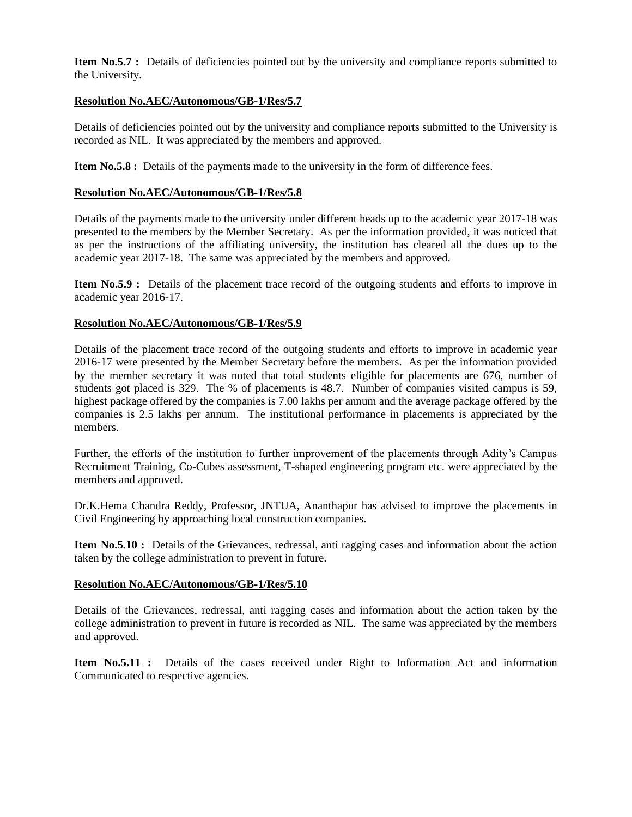**Item No.5.7 :** Details of deficiencies pointed out by the university and compliance reports submitted to the University.

# **Resolution No.AEC/Autonomous/GB-1/Res/5.7**

Details of deficiencies pointed out by the university and compliance reports submitted to the University is recorded as NIL. It was appreciated by the members and approved.

**Item No.5.8 :** Details of the payments made to the university in the form of difference fees.

# **Resolution No.AEC/Autonomous/GB-1/Res/5.8**

Details of the payments made to the university under different heads up to the academic year 2017-18 was presented to the members by the Member Secretary. As per the information provided, it was noticed that as per the instructions of the affiliating university, the institution has cleared all the dues up to the academic year 2017-18. The same was appreciated by the members and approved.

**Item No.5.9 :** Details of the placement trace record of the outgoing students and efforts to improve in academic year 2016-17.

# **Resolution No.AEC/Autonomous/GB-1/Res/5.9**

Details of the placement trace record of the outgoing students and efforts to improve in academic year 2016-17 were presented by the Member Secretary before the members. As per the information provided by the member secretary it was noted that total students eligible for placements are 676, number of students got placed is 329. The % of placements is 48.7. Number of companies visited campus is 59, highest package offered by the companies is 7.00 lakhs per annum and the average package offered by the companies is 2.5 lakhs per annum. The institutional performance in placements is appreciated by the members.

Further, the efforts of the institution to further improvement of the placements through Adity's Campus Recruitment Training, Co-Cubes assessment, T-shaped engineering program etc. were appreciated by the members and approved.

Dr.K.Hema Chandra Reddy, Professor, JNTUA, Ananthapur has advised to improve the placements in Civil Engineering by approaching local construction companies.

**Item No.5.10 :** Details of the Grievances, redressal, anti ragging cases and information about the action taken by the college administration to prevent in future.

# **Resolution No.AEC/Autonomous/GB-1/Res/5.10**

Details of the Grievances, redressal, anti ragging cases and information about the action taken by the college administration to prevent in future is recorded as NIL. The same was appreciated by the members and approved.

**Item No.5.11 :** Details of the cases received under Right to Information Act and information Communicated to respective agencies.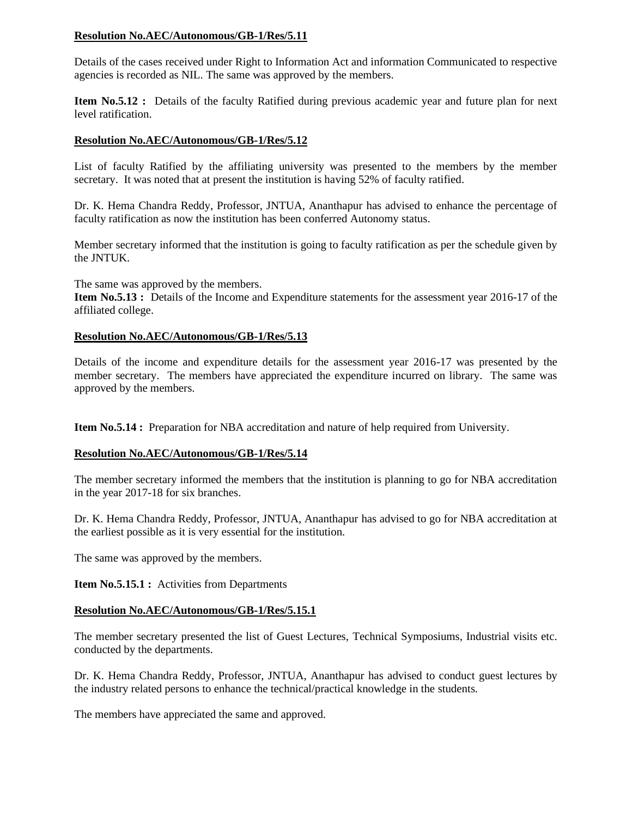# **Resolution No.AEC/Autonomous/GB-1/Res/5.11**

Details of the cases received under Right to Information Act and information Communicated to respective agencies is recorded as NIL. The same was approved by the members.

**Item No.5.12 :** Details of the faculty Ratified during previous academic year and future plan for next level ratification.

# **Resolution No.AEC/Autonomous/GB-1/Res/5.12**

List of faculty Ratified by the affiliating university was presented to the members by the member secretary. It was noted that at present the institution is having 52% of faculty ratified.

Dr. K. Hema Chandra Reddy, Professor, JNTUA, Ananthapur has advised to enhance the percentage of faculty ratification as now the institution has been conferred Autonomy status.

Member secretary informed that the institution is going to faculty ratification as per the schedule given by the JNTUK.

The same was approved by the members.

**Item No.5.13 :** Details of the Income and Expenditure statements for the assessment year 2016-17 of the affiliated college.

#### **Resolution No.AEC/Autonomous/GB-1/Res/5.13**

Details of the income and expenditure details for the assessment year 2016-17 was presented by the member secretary. The members have appreciated the expenditure incurred on library. The same was approved by the members.

**Item No.5.14 :** Preparation for NBA accreditation and nature of help required from University.

# **Resolution No.AEC/Autonomous/GB-1/Res/5.14**

The member secretary informed the members that the institution is planning to go for NBA accreditation in the year 2017-18 for six branches.

Dr. K. Hema Chandra Reddy, Professor, JNTUA, Ananthapur has advised to go for NBA accreditation at the earliest possible as it is very essential for the institution.

The same was approved by the members.

**Item No.5.15.1 :** Activities from Departments

#### **Resolution No.AEC/Autonomous/GB-1/Res/5.15.1**

The member secretary presented the list of Guest Lectures, Technical Symposiums, Industrial visits etc. conducted by the departments.

Dr. K. Hema Chandra Reddy, Professor, JNTUA, Ananthapur has advised to conduct guest lectures by the industry related persons to enhance the technical/practical knowledge in the students.

The members have appreciated the same and approved.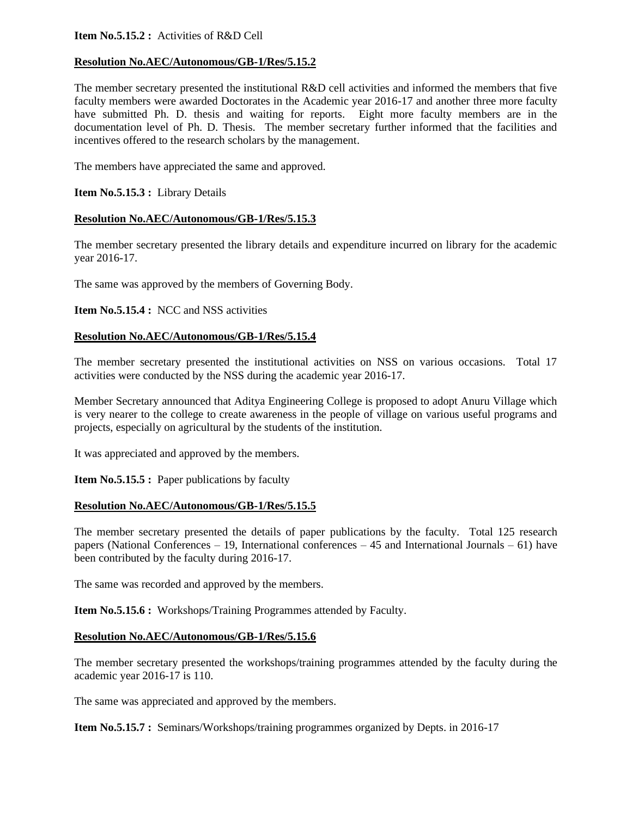# **Item No.5.15.2 :** Activities of R&D Cell

# **Resolution No.AEC/Autonomous/GB-1/Res/5.15.2**

The member secretary presented the institutional R&D cell activities and informed the members that five faculty members were awarded Doctorates in the Academic year 2016-17 and another three more faculty have submitted Ph. D. thesis and waiting for reports. Eight more faculty members are in the documentation level of Ph. D. Thesis. The member secretary further informed that the facilities and incentives offered to the research scholars by the management.

The members have appreciated the same and approved.

**Item No.5.15.3 :** Library Details

#### **Resolution No.AEC/Autonomous/GB-1/Res/5.15.3**

The member secretary presented the library details and expenditure incurred on library for the academic year 2016-17.

The same was approved by the members of Governing Body.

**Item No.5.15.4 : NCC and NSS activities** 

#### **Resolution No.AEC/Autonomous/GB-1/Res/5.15.4**

The member secretary presented the institutional activities on NSS on various occasions. Total 17 activities were conducted by the NSS during the academic year 2016-17.

Member Secretary announced that Aditya Engineering College is proposed to adopt Anuru Village which is very nearer to the college to create awareness in the people of village on various useful programs and projects, especially on agricultural by the students of the institution.

It was appreciated and approved by the members.

**Item No.5.15.5 :** Paper publications by faculty

#### **Resolution No.AEC/Autonomous/GB-1/Res/5.15.5**

The member secretary presented the details of paper publications by the faculty. Total 125 research papers (National Conferences – 19, International conferences – 45 and International Journals – 61) have been contributed by the faculty during 2016-17.

The same was recorded and approved by the members.

**Item No.5.15.6 :** Workshops/Training Programmes attended by Faculty.

#### **Resolution No.AEC/Autonomous/GB-1/Res/5.15.6**

The member secretary presented the workshops/training programmes attended by the faculty during the academic year 2016-17 is 110.

The same was appreciated and approved by the members.

**Item No.5.15.7 :** Seminars/Workshops/training programmes organized by Depts. in 2016-17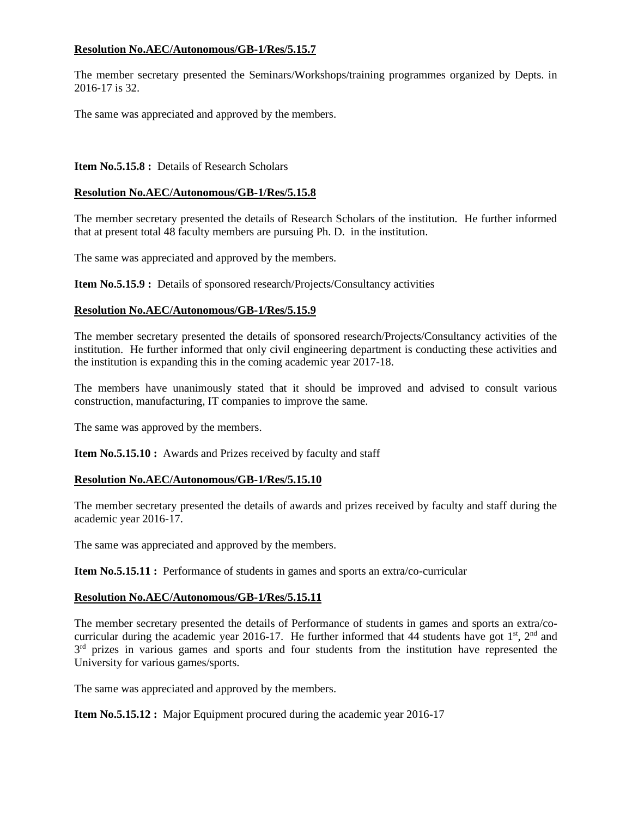# **Resolution No.AEC/Autonomous/GB-1/Res/5.15.7**

The member secretary presented the Seminars/Workshops/training programmes organized by Depts. in 2016-17 is 32.

The same was appreciated and approved by the members.

# **Item No.5.15.8 : Details of Research Scholars**

# **Resolution No.AEC/Autonomous/GB-1/Res/5.15.8**

The member secretary presented the details of Research Scholars of the institution. He further informed that at present total 48 faculty members are pursuing Ph. D. in the institution.

The same was appreciated and approved by the members.

**Item No.5.15.9 :** Details of sponsored research/Projects/Consultancy activities

# **Resolution No.AEC/Autonomous/GB-1/Res/5.15.9**

The member secretary presented the details of sponsored research/Projects/Consultancy activities of the institution. He further informed that only civil engineering department is conducting these activities and the institution is expanding this in the coming academic year 2017-18.

The members have unanimously stated that it should be improved and advised to consult various construction, manufacturing, IT companies to improve the same.

The same was approved by the members.

**Item No.5.15.10 :** Awards and Prizes received by faculty and staff

# **Resolution No.AEC/Autonomous/GB-1/Res/5.15.10**

The member secretary presented the details of awards and prizes received by faculty and staff during the academic year 2016-17.

The same was appreciated and approved by the members.

**Item No.5.15.11 :** Performance of students in games and sports an extra/co-curricular

# **Resolution No.AEC/Autonomous/GB-1/Res/5.15.11**

The member secretary presented the details of Performance of students in games and sports an extra/cocurricular during the academic year 2016-17. He further informed that 44 students have got  $1^{st}$ ,  $2^{nd}$  and 3<sup>rd</sup> prizes in various games and sports and four students from the institution have represented the University for various games/sports.

The same was appreciated and approved by the members.

**Item No.5.15.12 :** Major Equipment procured during the academic year 2016-17